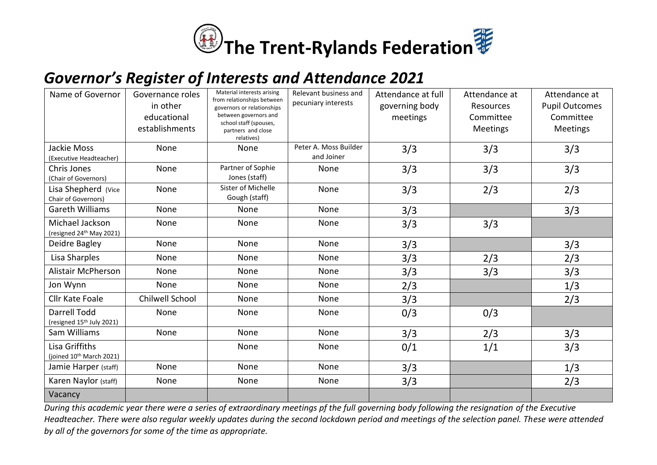

## *Governor's Register of Interests and Attendance 2021*

| Name of Governor                                             | Governance roles<br>in other<br>educational<br>establishments | Material interests arising<br>from relationships between<br>governors or relationships<br>between governors and<br>school staff (spouses,<br>partners and close<br>relatives) | Relevant business and<br>pecuniary interests | Attendance at full<br>governing body<br>meetings | Attendance at<br>Resources<br>Committee<br>Meetings | Attendance at<br><b>Pupil Outcomes</b><br>Committee<br><b>Meetings</b> |
|--------------------------------------------------------------|---------------------------------------------------------------|-------------------------------------------------------------------------------------------------------------------------------------------------------------------------------|----------------------------------------------|--------------------------------------------------|-----------------------------------------------------|------------------------------------------------------------------------|
| Jackie Moss<br>(Executive Headteacher)                       | None                                                          | None                                                                                                                                                                          | Peter A. Moss Builder<br>and Joiner          | 3/3                                              | 3/3                                                 | 3/3                                                                    |
| Chris Jones<br>(Chair of Governors)                          | None                                                          | Partner of Sophie<br>Jones (staff)                                                                                                                                            | None                                         | 3/3                                              | 3/3                                                 | 3/3                                                                    |
| Lisa Shepherd (Vice<br>Chair of Governors)                   | None                                                          | Sister of Michelle<br>Gough (staff)                                                                                                                                           | None                                         | 3/3                                              | 2/3                                                 | 2/3                                                                    |
| <b>Gareth Williams</b>                                       | None                                                          | None                                                                                                                                                                          | None                                         | 3/3                                              |                                                     | 3/3                                                                    |
| Michael Jackson<br>(resigned 24th May 2021)                  | None                                                          | None                                                                                                                                                                          | None                                         | 3/3                                              | 3/3                                                 |                                                                        |
| Deidre Bagley                                                | None                                                          | None                                                                                                                                                                          | None                                         | 3/3                                              |                                                     | 3/3                                                                    |
| Lisa Sharples                                                | None                                                          | None                                                                                                                                                                          | None                                         | 3/3                                              | 2/3                                                 | 2/3                                                                    |
| <b>Alistair McPherson</b>                                    | None                                                          | None                                                                                                                                                                          | None                                         | 3/3                                              | 3/3                                                 | 3/3                                                                    |
| Jon Wynn                                                     | None                                                          | None                                                                                                                                                                          | None                                         | 2/3                                              |                                                     | 1/3                                                                    |
| Cllr Kate Foale                                              | Chilwell School                                               | None                                                                                                                                                                          | None                                         | 3/3                                              |                                                     | 2/3                                                                    |
| <b>Darrell Todd</b><br>(resigned 15 <sup>th</sup> July 2021) | None                                                          | None                                                                                                                                                                          | None                                         | 0/3                                              | 0/3                                                 |                                                                        |
| Sam Williams                                                 | None                                                          | None                                                                                                                                                                          | None                                         | 3/3                                              | 2/3                                                 | 3/3                                                                    |
| Lisa Griffiths<br>(joined 10th March 2021)                   |                                                               | None                                                                                                                                                                          | None                                         | 0/1                                              | 1/1                                                 | 3/3                                                                    |
| Jamie Harper (staff)                                         | None                                                          | None                                                                                                                                                                          | None                                         | 3/3                                              |                                                     | 1/3                                                                    |
| Karen Naylor (staff)                                         | None                                                          | None                                                                                                                                                                          | None                                         | 3/3                                              |                                                     | 2/3                                                                    |
| Vacancy                                                      |                                                               |                                                                                                                                                                               |                                              |                                                  |                                                     |                                                                        |

*During this academic year there were a series of extraordinary meetings pf the full governing body following the resignation of the Executive Headteacher. There were also regular weekly updates during the second lockdown period and meetings of the selection panel. These were attended by all of the governors for some of the time as appropriate.*